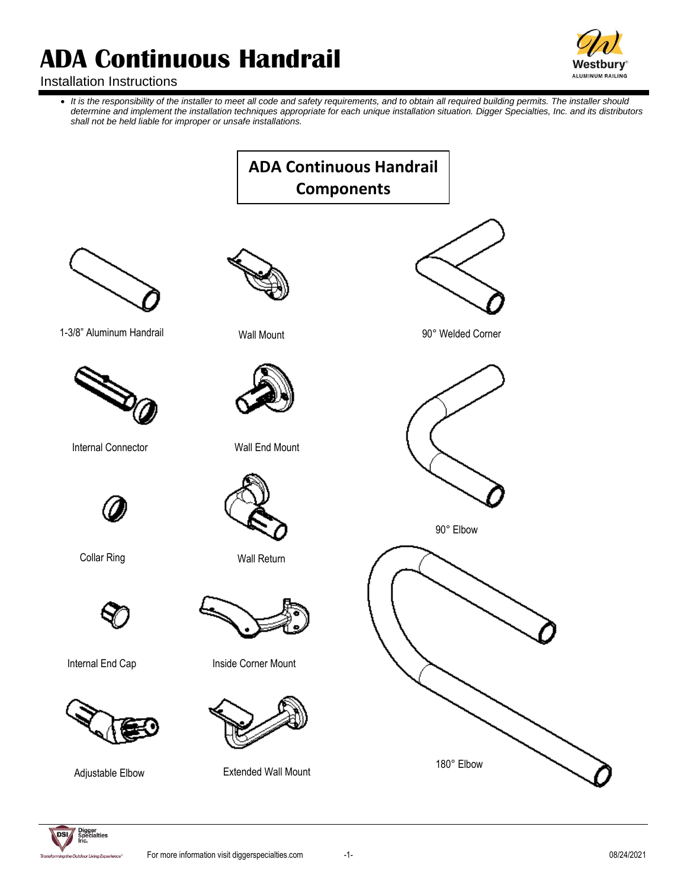

# Installation Instructions

• *It is the responsibility of the installer to meet all code and safety requirements, and to obtain all required building permits. The installer should determine and implement the installation techniques appropriate for each unique installation situation. Digger Specialties, Inc. and its distributors shall not be held liable for improper or unsafe installations.*

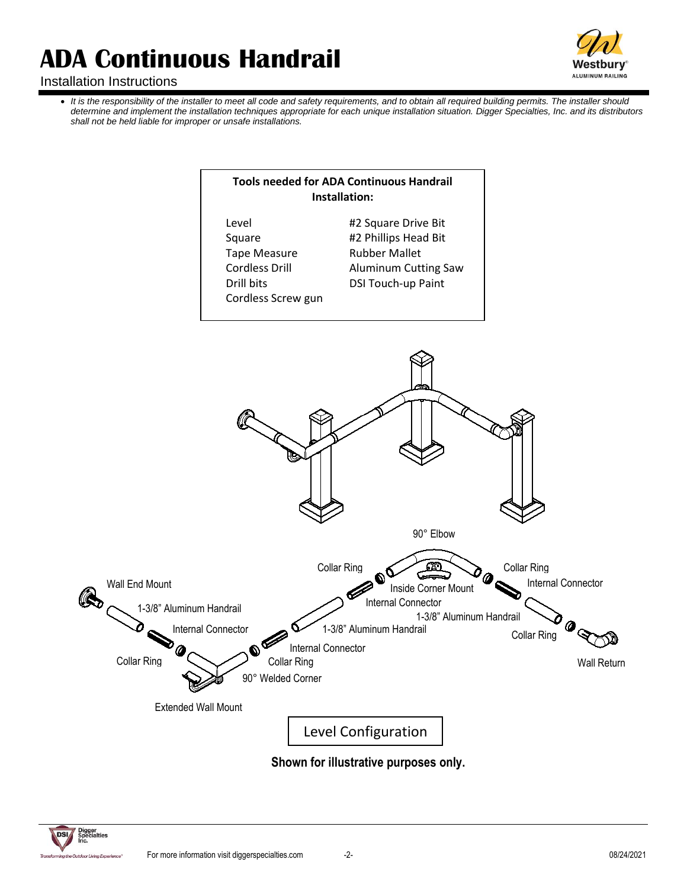

# Installation Instructions

• It is the responsibility of the installer to meet all code and safety requirements, and to obtain all required building permits. The installer should *determine and implement the installation techniques appropriate for each unique installation situation. Digger Specialties, Inc. and its distributors shall not be held liable for improper or unsafe installations.*





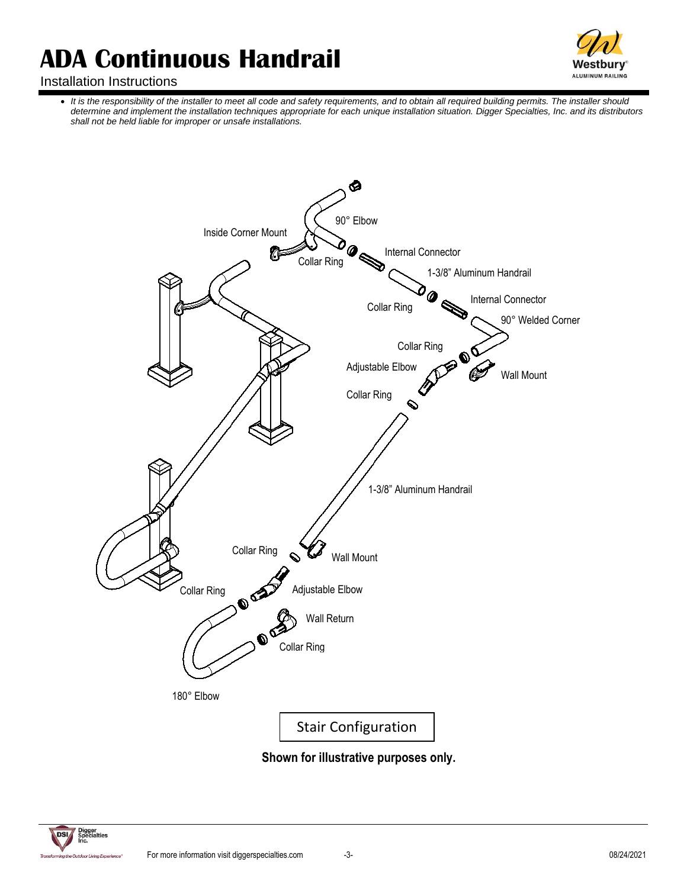

# Installation Instructions

• *It is the responsibility of the installer to meet all code and safety requirements, and to obtain all required building permits. The installer should determine and implement the installation techniques appropriate for each unique installation situation. Digger Specialties, Inc. and its distributors shall not be held liable for improper or unsafe installations.*



**Shown for illustrative purposes only.**

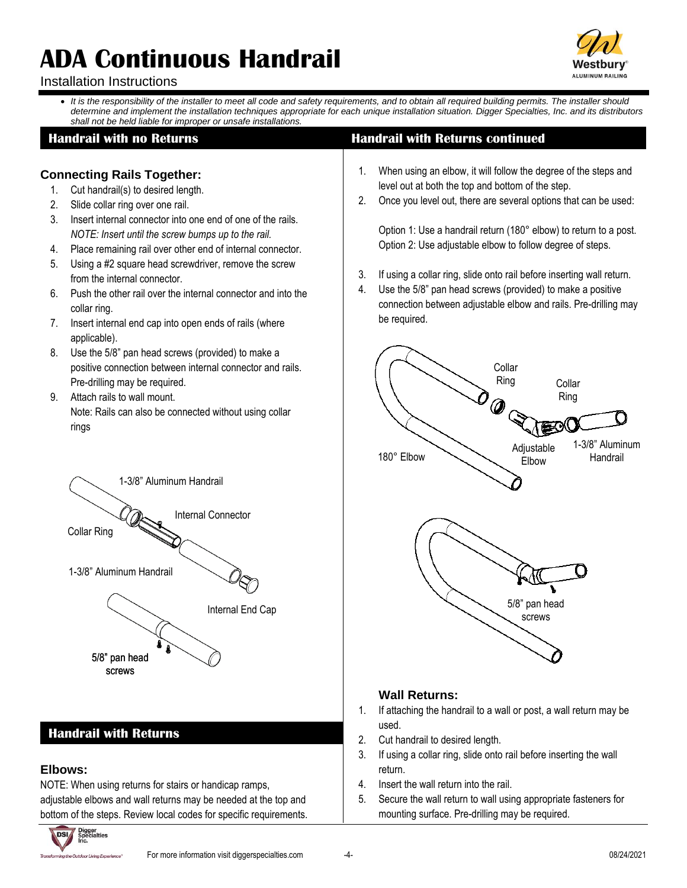

# Installation Instructions

• *It is the responsibility of the installer to meet all code and safety requirements, and to obtain all required building permits. The installer should determine and implement the installation techniques appropriate for each unique installation situation. Digger Specialties, Inc. and its distributors shall not be held liable for improper or unsafe installations.*

# **Connecting Rails Together:**

- 1. Cut handrail(s) to desired length.
- 2. Slide collar ring over one rail.
- 3. Insert internal connector into one end of one of the rails. *NOTE: Insert until the screw bumps up to the rail.*
- 4. Place remaining rail over other end of internal connector.
- 5. Using a #2 square head screwdriver, remove the screw from the internal connector.
- 6. Push the other rail over the internal connector and into the collar ring.
- 7. Insert internal end cap into open ends of rails (where applicable).
- 8. Use the 5/8" pan head screws (provided) to make a positive connection between internal connector and rails. Pre-drilling may be required.
- 9. Attach rails to wall mount. Note: Rails can also be connected without using collar rings



# **Handrail with Returns**

#### **Elbows:**

NOTE: When using returns for stairs or handicap ramps, adjustable elbows and wall returns may be needed at the top and bottom of the steps. Review local codes for specific requirements.



# **Handrail with no Returns Handrail with Returns continued**

- 1. When using an elbow, it will follow the degree of the steps and level out at both the top and bottom of the step.
- 2. Once you level out, there are several options that can be used:

Option 1: Use a handrail return (180° elbow) to return to a post. Option 2: Use adjustable elbow to follow degree of steps.

- 3. If using a collar ring, slide onto rail before inserting wall return.
- 4. Use the 5/8" pan head screws (provided) to make a positive connection between adjustable elbow and rails. Pre-drilling may be required.



# **Wall Returns:**

- 1. If attaching the handrail to a wall or post, a wall return may be used.
- 2. Cut handrail to desired length.
- 3. If using a collar ring, slide onto rail before inserting the wall return.
- 4. Insert the wall return into the rail.
- 5. Secure the wall return to wall using appropriate fasteners for mounting surface. Pre-drilling may be required.